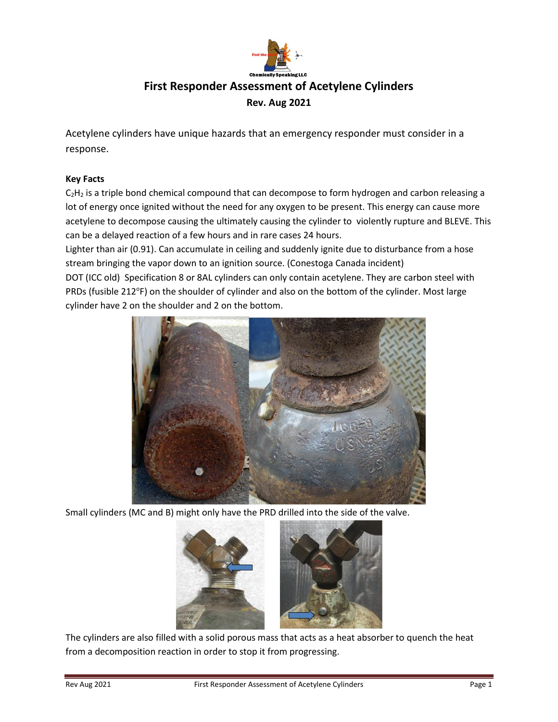

# **First Responder Assessment of Acetylene Cylinders Rev. Aug 2021**

Acetylene cylinders have unique hazards that an emergency responder must consider in a response.

## **Key Facts**

C<sub>2</sub>H<sub>2</sub> is a triple bond chemical compound that can decompose to form hydrogen and carbon releasing a lot of energy once ignited without the need for any oxygen to be present. This energy can cause more acetylene to decompose causing the ultimately causing the cylinder to violently rupture and BLEVE. This can be a delayed reaction of a few hours and in rare cases 24 hours.

Lighter than air (0.91). Can accumulate in ceiling and suddenly ignite due to disturbance from a hose stream bringing the vapor down to an ignition source. (Conestoga Canada incident)

DOT (ICC old) Specification 8 or 8AL cylinders can only contain acetylene. They are carbon steel with PRDs (fusible 212°F) on the shoulder of cylinder and also on the bottom of the cylinder. Most large cylinder have 2 on the shoulder and 2 on the bottom.



Small cylinders (MC and B) might only have the PRD drilled into the side of the valve.

![](_page_0_Picture_9.jpeg)

The cylinders are also filled with a solid porous mass that acts as a heat absorber to quench the heat from a decomposition reaction in order to stop it from progressing.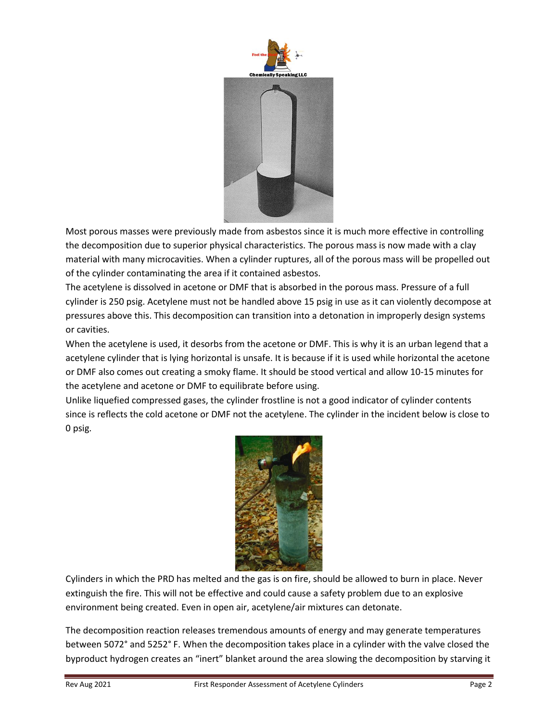![](_page_1_Picture_0.jpeg)

Most porous masses were previously made from asbestos since it is much more effective in controlling the decomposition due to superior physical characteristics. The porous mass is now made with a clay material with many microcavities. When a cylinder ruptures, all of the porous mass will be propelled out of the cylinder contaminating the area if it contained asbestos.

The acetylene is dissolved in acetone or DMF that is absorbed in the porous mass. Pressure of a full cylinder is 250 psig. Acetylene must not be handled above 15 psig in use as it can violently decompose at pressures above this. This decomposition can transition into a detonation in improperly design systems or cavities.

When the acetylene is used, it desorbs from the acetone or DMF. This is why it is an urban legend that a acetylene cylinder that is lying horizontal is unsafe. It is because if it is used while horizontal the acetone or DMF also comes out creating a smoky flame. It should be stood vertical and allow 10-15 minutes for the acetylene and acetone or DMF to equilibrate before using.

Unlike liquefied compressed gases, the cylinder frostline is not a good indicator of cylinder contents since is reflects the cold acetone or DMF not the acetylene. The cylinder in the incident below is close to 0 psig.

![](_page_1_Picture_5.jpeg)

Cylinders in which the PRD has melted and the gas is on fire, should be allowed to burn in place. Never extinguish the fire. This will not be effective and could cause a safety problem due to an explosive environment being created. Even in open air, acetylene/air mixtures can detonate.

The decomposition reaction releases tremendous amounts of energy and may generate temperatures between 5072° and 5252° F. When the decomposition takes place in a cylinder with the valve closed the byproduct hydrogen creates an "inert" blanket around the area slowing the decomposition by starving it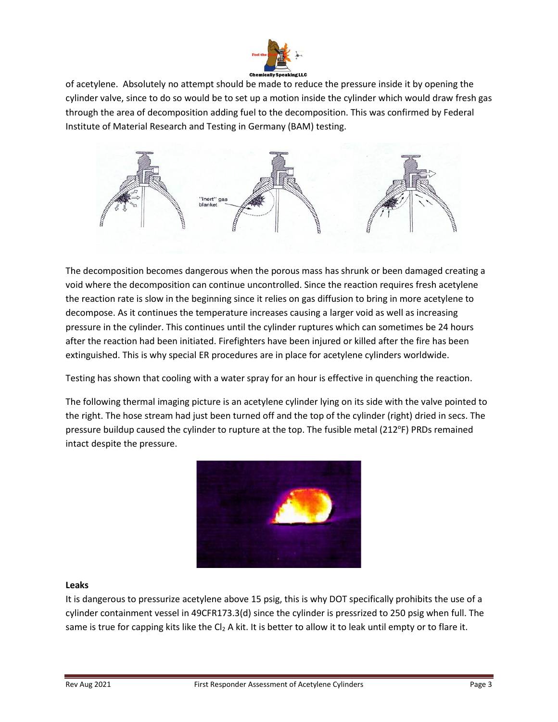![](_page_2_Picture_0.jpeg)

of acetylene. Absolutely no attempt should be made to reduce the pressure inside it by opening the cylinder valve, since to do so would be to set up a motion inside the cylinder which would draw fresh gas through the area of decomposition adding fuel to the decomposition. This was confirmed by Federal Institute of Material Research and Testing in Germany (BAM) testing.

![](_page_2_Figure_2.jpeg)

The decomposition becomes dangerous when the porous mass has shrunk or been damaged creating a void where the decomposition can continue uncontrolled. Since the reaction requires fresh acetylene the reaction rate is slow in the beginning since it relies on gas diffusion to bring in more acetylene to decompose. As it continues the temperature increases causing a larger void as well as increasing pressure in the cylinder. This continues until the cylinder ruptures which can sometimes be 24 hours after the reaction had been initiated. Firefighters have been injured or killed after the fire has been extinguished. This is why special ER procedures are in place for acetylene cylinders worldwide.

Testing has shown that cooling with a water spray for an hour is effective in quenching the reaction.

The following thermal imaging picture is an acetylene cylinder lying on its side with the valve pointed to the right. The hose stream had just been turned off and the top of the cylinder (right) dried in secs. The pressure buildup caused the cylinder to rupture at the top. The fusible metal (212°F) PRDs remained intact despite the pressure.

![](_page_2_Picture_6.jpeg)

### **Leaks**

It is dangerous to pressurize acetylene above 15 psig, this is why DOT specifically prohibits the use of a cylinder containment vessel in 49CFR173.3(d) since the cylinder is pressrized to 250 psig when full. The same is true for capping kits like the Cl<sub>2</sub> A kit. It is better to allow it to leak until empty or to flare it.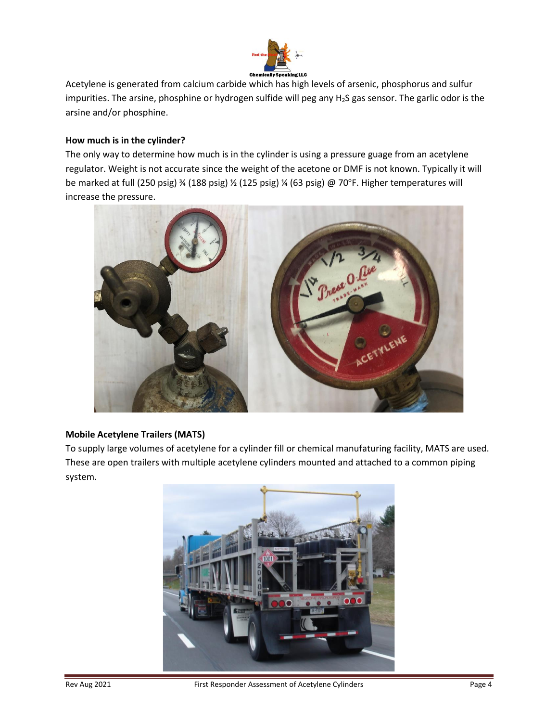![](_page_3_Picture_0.jpeg)

Acetylene is generated from calcium carbide which has high levels of arsenic, phosphorus and sulfur impurities. The arsine, phosphine or hydrogen sulfide will peg any H2S gas sensor. The garlic odor is the arsine and/or phosphine.

## **How much is in the cylinder?**

The only way to determine how much is in the cylinder is using a pressure guage from an acetylene regulator. Weight is not accurate since the weight of the acetone or DMF is not known. Typically it will be marked at full (250 psig) ¾ (188 psig) ½ (125 psig) ¼ (63 psig) @ 70°F. Higher temperatures will increase the pressure.

![](_page_3_Picture_4.jpeg)

## **Mobile Acetylene Trailers (MATS)**

To supply large volumes of acetylene for a cylinder fill or chemical manufaturing facility, MATS are used. These are open trailers with multiple acetylene cylinders mounted and attached to a common piping system.

![](_page_3_Picture_7.jpeg)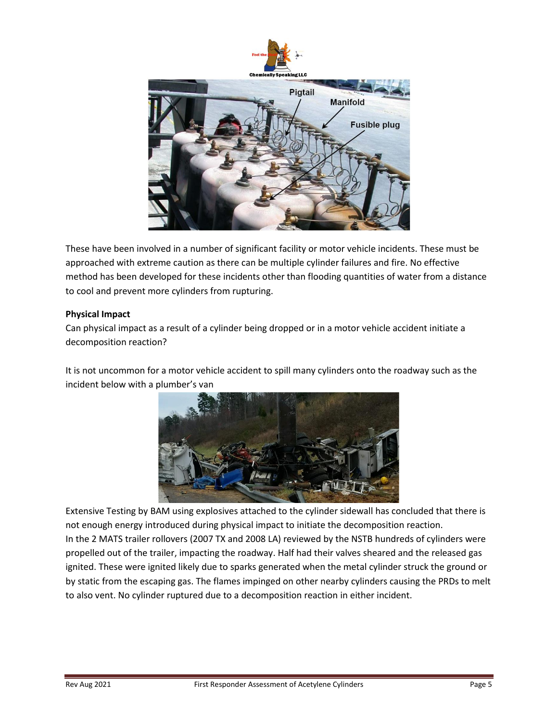![](_page_4_Picture_0.jpeg)

These have been involved in a number of significant facility or motor vehicle incidents. These must be approached with extreme caution as there can be multiple cylinder failures and fire. No effective method has been developed for these incidents other than flooding quantities of water from a distance to cool and prevent more cylinders from rupturing.

### **Physical Impact**

Can physical impact as a result of a cylinder being dropped or in a motor vehicle accident initiate a decomposition reaction?

It is not uncommon for a motor vehicle accident to spill many cylinders onto the roadway such as the incident below with a plumber's van

![](_page_4_Picture_5.jpeg)

Extensive Testing by BAM using explosives attached to the cylinder sidewall has concluded that there is not enough energy introduced during physical impact to initiate the decomposition reaction. In the 2 MATS trailer rollovers (2007 TX and 2008 LA) reviewed by the NSTB hundreds of cylinders were propelled out of the trailer, impacting the roadway. Half had their valves sheared and the released gas ignited. These were ignited likely due to sparks generated when the metal cylinder struck the ground or by static from the escaping gas. The flames impinged on other nearby cylinders causing the PRDs to melt to also vent. No cylinder ruptured due to a decomposition reaction in either incident.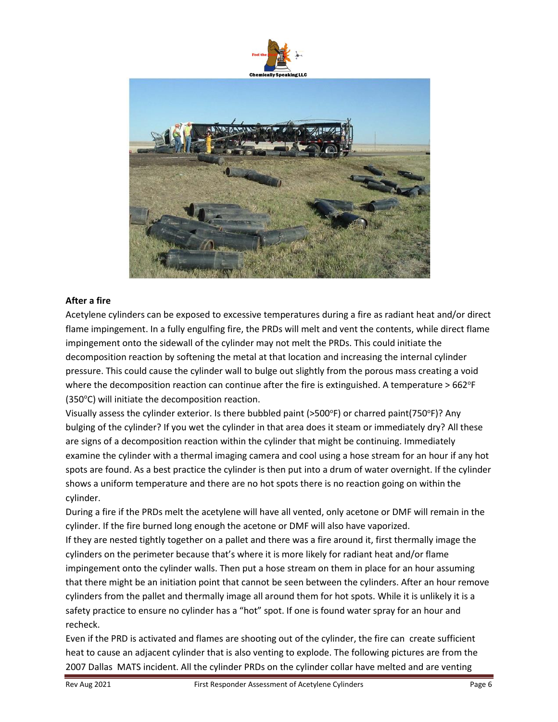![](_page_5_Picture_0.jpeg)

![](_page_5_Picture_1.jpeg)

### **After a fire**

Acetylene cylinders can be exposed to excessive temperatures during a fire as radiant heat and/or direct flame impingement. In a fully engulfing fire, the PRDs will melt and vent the contents, while direct flame impingement onto the sidewall of the cylinder may not melt the PRDs. This could initiate the decomposition reaction by softening the metal at that location and increasing the internal cylinder pressure. This could cause the cylinder wall to bulge out slightly from the porous mass creating a void where the decomposition reaction can continue after the fire is extinguished. A temperature > 662°F  $(350^{\circ}C)$  will initiate the decomposition reaction.

Visually assess the cylinder exterior. Is there bubbled paint (>500°F) or charred paint(750°F)? Any bulging of the cylinder? If you wet the cylinder in that area does it steam or immediately dry? All these are signs of a decomposition reaction within the cylinder that might be continuing. Immediately examine the cylinder with a thermal imaging camera and cool using a hose stream for an hour if any hot spots are found. As a best practice the cylinder is then put into a drum of water overnight. If the cylinder shows a uniform temperature and there are no hot spots there is no reaction going on within the cylinder.

During a fire if the PRDs melt the acetylene will have all vented, only acetone or DMF will remain in the cylinder. If the fire burned long enough the acetone or DMF will also have vaporized.

If they are nested tightly together on a pallet and there was a fire around it, first thermally image the cylinders on the perimeter because that's where it is more likely for radiant heat and/or flame impingement onto the cylinder walls. Then put a hose stream on them in place for an hour assuming that there might be an initiation point that cannot be seen between the cylinders. After an hour remove cylinders from the pallet and thermally image all around them for hot spots. While it is unlikely it is a safety practice to ensure no cylinder has a "hot" spot. If one is found water spray for an hour and recheck.

Even if the PRD is activated and flames are shooting out of the cylinder, the fire can create sufficient heat to cause an adjacent cylinder that is also venting to explode. The following pictures are from the 2007 Dallas MATS incident. All the cylinder PRDs on the cylinder collar have melted and are venting